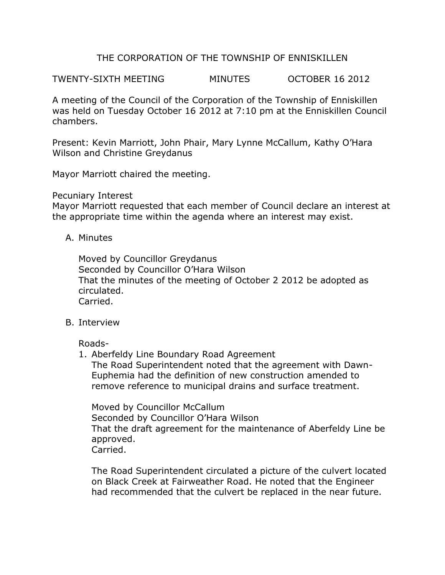# THE CORPORATION OF THE TOWNSHIP OF ENNISKILLEN

TWENTY-SIXTH MEETING MINUTES OCTOBER 16 2012

A meeting of the Council of the Corporation of the Township of Enniskillen was held on Tuesday October 16 2012 at 7:10 pm at the Enniskillen Council chambers.

Present: Kevin Marriott, John Phair, Mary Lynne McCallum, Kathy O'Hara Wilson and Christine Greydanus

Mayor Marriott chaired the meeting.

#### Pecuniary Interest

Mayor Marriott requested that each member of Council declare an interest at the appropriate time within the agenda where an interest may exist.

A. Minutes

Moved by Councillor Greydanus Seconded by Councillor O'Hara Wilson That the minutes of the meeting of October 2 2012 be adopted as circulated. Carried.

## B. Interview

Roads-

1. Aberfeldy Line Boundary Road Agreement The Road Superintendent noted that the agreement with Dawn-Euphemia had the definition of new construction amended to remove reference to municipal drains and surface treatment.

Moved by Councillor McCallum Seconded by Councillor O'Hara Wilson That the draft agreement for the maintenance of Aberfeldy Line be approved. Carried.

The Road Superintendent circulated a picture of the culvert located on Black Creek at Fairweather Road. He noted that the Engineer had recommended that the culvert be replaced in the near future.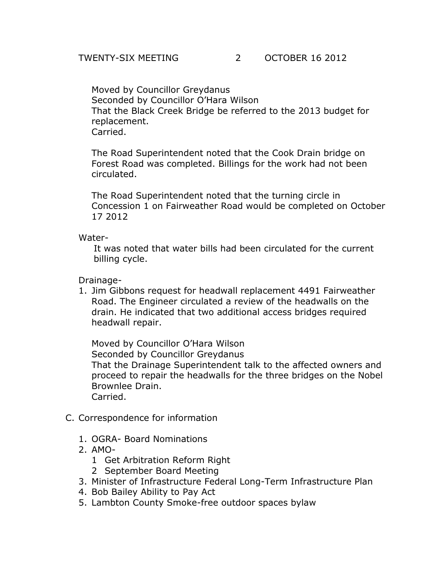## TWENTY-SIX MEETING 2 OCTOBER 16 2012

Moved by Councillor Greydanus Seconded by Councillor O'Hara Wilson That the Black Creek Bridge be referred to the 2013 budget for replacement. Carried.

The Road Superintendent noted that the Cook Drain bridge on Forest Road was completed. Billings for the work had not been circulated.

The Road Superintendent noted that the turning circle in Concession 1 on Fairweather Road would be completed on October 17 2012

#### Water-

It was noted that water bills had been circulated for the current billing cycle.

## Drainage-

1. Jim Gibbons request for headwall replacement 4491 Fairweather Road. The Engineer circulated a review of the headwalls on the drain. He indicated that two additional access bridges required headwall repair.

Moved by Councillor O'Hara Wilson Seconded by Councillor Greydanus That the Drainage Superintendent talk to the affected owners and proceed to repair the headwalls for the three bridges on the Nobel Brownlee Drain. Carried.

- C. Correspondence for information
	- 1. OGRA- Board Nominations
	- 2. AMO-
		- 1 Get Arbitration Reform Right
		- 2 September Board Meeting
	- 3. Minister of Infrastructure Federal Long-Term Infrastructure Plan
	- 4. Bob Bailey Ability to Pay Act
	- 5. Lambton County Smoke-free outdoor spaces bylaw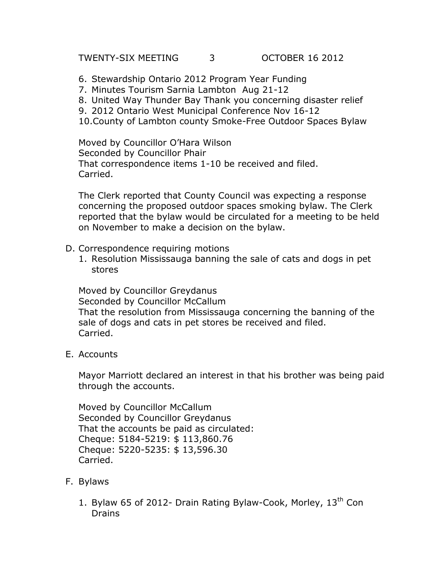TWENTY-SIX MEETING 3 OCTOBER 16 2012

- 6. Stewardship Ontario 2012 Program Year Funding
- 7. Minutes Tourism Sarnia Lambton Aug 21-12
- 8. United Way Thunder Bay Thank you concerning disaster relief
- 9. 2012 Ontario West Municipal Conference Nov 16-12
- 10.County of Lambton county Smoke-Free Outdoor Spaces Bylaw

Moved by Councillor O'Hara Wilson Seconded by Councillor Phair That correspondence items 1-10 be received and filed. Carried.

The Clerk reported that County Council was expecting a response concerning the proposed outdoor spaces smoking bylaw. The Clerk reported that the bylaw would be circulated for a meeting to be held on November to make a decision on the bylaw.

- D. Correspondence requiring motions
	- 1. Resolution Mississauga banning the sale of cats and dogs in pet stores

Moved by Councillor Greydanus Seconded by Councillor McCallum That the resolution from Mississauga concerning the banning of the sale of dogs and cats in pet stores be received and filed. Carried.

E. Accounts

Mayor Marriott declared an interest in that his brother was being paid through the accounts.

Moved by Councillor McCallum Seconded by Councillor Greydanus That the accounts be paid as circulated: Cheque: 5184-5219: \$ 113,860.76 Cheque: 5220-5235: \$ 13,596.30 Carried.

- F. Bylaws
	- 1. Bylaw 65 of 2012- Drain Rating Bylaw-Cook, Morley,  $13<sup>th</sup>$  Con **Drains**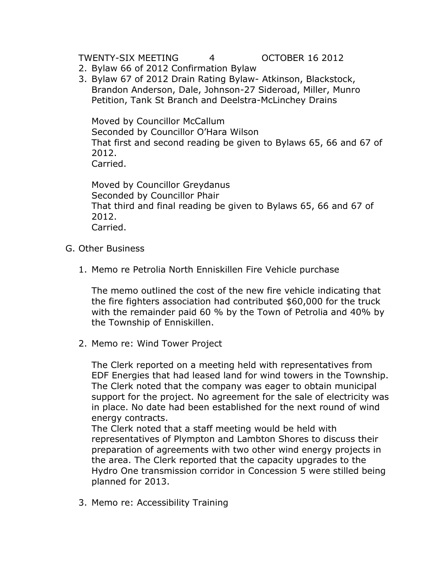TWENTY-SIX MEETING 4 OCTOBER 16 2012

- 2. Bylaw 66 of 2012 Confirmation Bylaw
- 3. Bylaw 67 of 2012 Drain Rating Bylaw- Atkinson, Blackstock, Brandon Anderson, Dale, Johnson-27 Sideroad, Miller, Munro Petition, Tank St Branch and Deelstra-McLinchey Drains

Moved by Councillor McCallum Seconded by Councillor O'Hara Wilson That first and second reading be given to Bylaws 65, 66 and 67 of 2012. Carried.

Moved by Councillor Greydanus Seconded by Councillor Phair That third and final reading be given to Bylaws 65, 66 and 67 of 2012. Carried.

- G. Other Business
	- 1. Memo re Petrolia North Enniskillen Fire Vehicle purchase

The memo outlined the cost of the new fire vehicle indicating that the fire fighters association had contributed \$60,000 for the truck with the remainder paid 60 % by the Town of Petrolia and 40% by the Township of Enniskillen.

2. Memo re: Wind Tower Project

The Clerk reported on a meeting held with representatives from EDF Energies that had leased land for wind towers in the Township. The Clerk noted that the company was eager to obtain municipal support for the project. No agreement for the sale of electricity was in place. No date had been established for the next round of wind energy contracts.

The Clerk noted that a staff meeting would be held with representatives of Plympton and Lambton Shores to discuss their preparation of agreements with two other wind energy projects in the area. The Clerk reported that the capacity upgrades to the Hydro One transmission corridor in Concession 5 were stilled being planned for 2013.

3. Memo re: Accessibility Training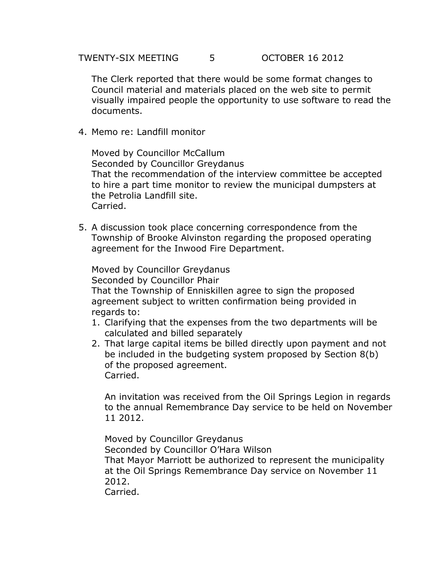The Clerk reported that there would be some format changes to Council material and materials placed on the web site to permit visually impaired people the opportunity to use software to read the documents.

4. Memo re: Landfill monitor

Moved by Councillor McCallum Seconded by Councillor Greydanus That the recommendation of the interview committee be accepted to hire a part time monitor to review the municipal dumpsters at the Petrolia Landfill site. Carried.

5. A discussion took place concerning correspondence from the Township of Brooke Alvinston regarding the proposed operating agreement for the Inwood Fire Department.

Moved by Councillor Greydanus Seconded by Councillor Phair That the Township of Enniskillen agree to sign the proposed agreement subject to written confirmation being provided in regards to:

- 1. Clarifying that the expenses from the two departments will be calculated and billed separately
- 2. That large capital items be billed directly upon payment and not be included in the budgeting system proposed by Section 8(b) of the proposed agreement. Carried.

An invitation was received from the Oil Springs Legion in regards to the annual Remembrance Day service to be held on November 11 2012.

Moved by Councillor Greydanus Seconded by Councillor O'Hara Wilson That Mayor Marriott be authorized to represent the municipality at the Oil Springs Remembrance Day service on November 11 2012. Carried.